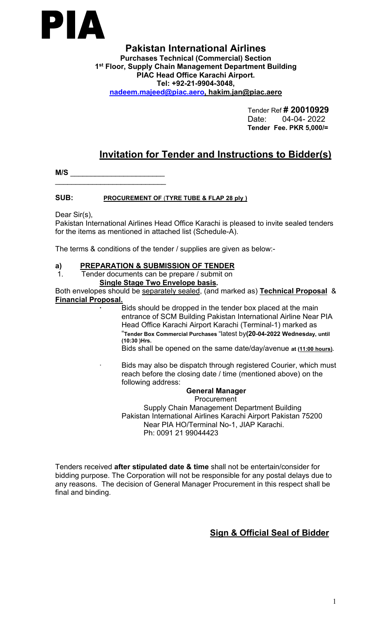

**Pakistan International Airlines Purchases Technical (Commercial) Section 1 st Floor, Supply Chain Management Department Building PIAC Head Office Karachi Airport. Tel: +92-21-9904-3048, [nadeem.majeed@piac.aero,](mailto:nadeem.majeed@piac.aero) hakim.jan@piac.aero**

> Tender Ref **# 20010929** Date: 04-04- 2022 **Tender Fee. PKR 5,000/=**

# **Invitation for Tender and Instructions to Bidder(s)**

**M/S** \_\_\_\_\_\_\_\_\_\_\_\_\_\_\_\_\_\_\_\_\_\_\_  $\overline{\phantom{a}}$  , we are the contract of the contract of the contract of the contract of the contract of the contract of the contract of the contract of the contract of the contract of the contract of the contract of the cont

### **SUB: PROCUREMENT OF** (**TYRE TUBE & FLAP 28 ply )**

Dear Sir(s),

Pakistan International Airlines Head Office Karachi is pleased to invite sealed tenders for the items as mentioned in attached list (Schedule-A).

The terms & conditions of the tender / supplies are given as below:-

### **a) PREPARATION & SUBMISSION OF TENDER**

1. Tender documents can be prepare / submit on **Single Stage Two Envelope basis.**

Both envelopes should be separately sealed, (and marked as) **Technical Proposal** & **Financial Proposal.**

**∙** Bids should be dropped in the tender box placed at the main entrance of SCM Building Pakistan International Airline Near PIA Head Office Karachi Airport Karachi (Terminal-1) marked as "**Tender Box Commercial Purchases** "latest by**(20-04-2022 Wednesday, until (10:30 )Hrs.**

Bids shall be opened on the same date/day/avenue **at (11:00 hours).**

∙ Bids may also be dispatch through registered Courier, which must reach before the closing date / time (mentioned above) on the following address:

### **General Manager**

Procurement Supply Chain Management Department Building Pakistan International Airlines Karachi Airport Pakistan 75200 Near PIA HO/Terminal No-1, JIAP Karachi. Ph: 0091 21 99044423

Tenders received **after stipulated date & time** shall not be entertain/consider for bidding purpose. The Corporation will not be responsible for any postal delays due to any reasons. The decision of General Manager Procurement in this respect shall be final and binding.

## **Sign & Official Seal of Bidder**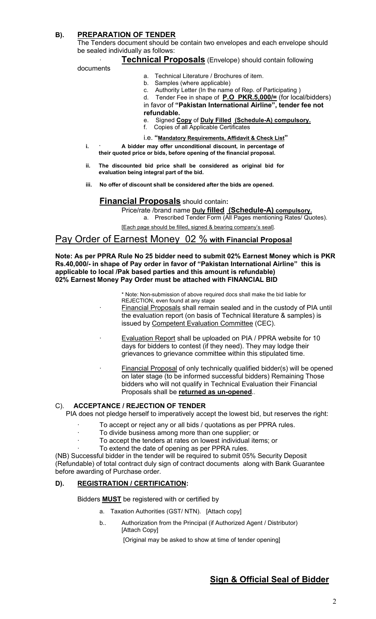## **B). PREPARATION OF TENDER**

The Tenders document should be contain two envelopes and each envelope should be sealed individually as follows:

#### ∙ **Technical Proposals** (Envelope) should contain following

#### documents

- a. Technical Literature / Brochures of item.
- b. Samples (where applicable)
- c. Authority Letter (In the name of Rep. of Participating )

d. Tender Fee in shape of **P.O PKR.5,000/=** (for local/bidders) in favor of**"Pakistan International Airline", tender fee not refundable.**

- e. Signed **Copy** of **Duly Filled (Schedule-A) compulsory.**
- f. Copies of all Applicable Certificates
- i.e. **"Mandatory Requirements, Affidavit & Check List"**
- **i.** ∙ **A bidder may offer unconditional discount, in percentage of their quoted price or bids, before opening of the financial proposal.**
- **ii. The discounted bid price shall be considered as original bid for evaluation being integral part of the bid.**
- **iii. No offer of discount shall be considered after the bids are opened.**

#### **Financial Proposals** should contain**:**

Price/rate /brand name **Duly filled (Schedule-A) compulsory.** a. Prescribed Tender Form (All Pages mentioning Rates/ Quotes).

[Each page should be filled, signed & bearing company's seal].

## Pay Order of Earnest Money 02 % **with Financial Proposal**

**Note: As per PPRA Rule No 25 bidder need to submit 02% Earnest Money which isPKR Rs.40,000/- in shape of Pay order in favor of "Pakistan International Airline" this is applicable to local /Pak based parties and this amount is refundable) 02% Earnest Money Pay Order must be attached with FINANCIAL BID**

> \* Note: Non-submission of above required docs shall make the bid liable for REJECTION, even found at any stage

Financial Proposals shall remain sealed and in the custody of PIA until the evaluation report (on basis of Technical literature & samples) is issued by Competent Evaluation Committee (CEC).

- Evaluation Report shall be uploaded on PIA / PPRA website for 10 days for bidders to contest (if they need). They may lodge their grievances to grievance committee within this stipulated time.
- Financial Proposal of only technically qualified bidder(s) will be opened on later stage (to be informed successful bidders) Remaining Those bidders who will not qualify in Technical Evaluation their Financial Proposals shall be **returned as un-opened**..

#### C). **ACCEPTANCE / REJECTION OF TENDER**

PIA does not pledge herself to imperatively accept the lowest bid, but reserves the right:

- ∙ To accept or reject any or all bids / quotations as per PPRA rules.
- ∙ To divide business among more than one supplier; or
- ∙ To accept the tenders at rates on lowest individual items; or
- To extend the date of opening as per PPRA rules.

(NB) Successful bidder in the tender will be required to submit 05% Security Deposit (Refundable) of total contract duly sign of contract documents along with Bank Guarantee before awarding of Purchase order.

### **D). REGISTRATION / CERTIFICATION:**

Bidders **MUST** be registered with or certified by

- a. Taxation Authorities (GST/ NTN). [Attach copy]
- b.. Authorization from the Principal (if Authorized Agent / Distributor) [Attach Copy]

[Original may be asked to show at time of tender opening]

## **Sign & Official Seal of Bidder**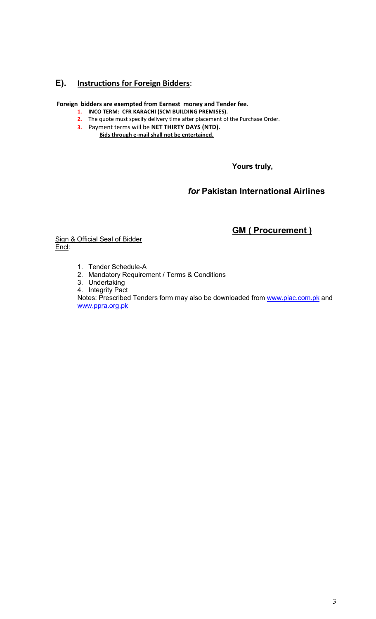## **E). Instructions for Foreign Bidders**:

### **Foreign bidders are exempted from Earnest money and Tender fee**.

- **1. INCO TERM: CFR KARACHI (SCM BUILDING PREMISES).**
- **2.** The quote must specify delivery time after placement of the Purchase Order.
- **3.** Payment terms will be **NET THIRTY DAYS (NTD). Bids through e-mail shall not be entertained.**

**Yours truly,**

## *for* **Pakistan International Airlines**

# **GM ( Procurement )**

Sign & Official Seal of Bidder Encl:

- 1. Tender Schedule-A
- 2. Mandatory Requirement / Terms & Conditions
- 3. Undertaking
- 4. Integrity Pact

Notes: Prescribed Tenders form may also be downloaded from [www.piac.com.pk](http://www.piac.com.pk) and [www.ppra.org.pk](http://www.ppra.org.pk/)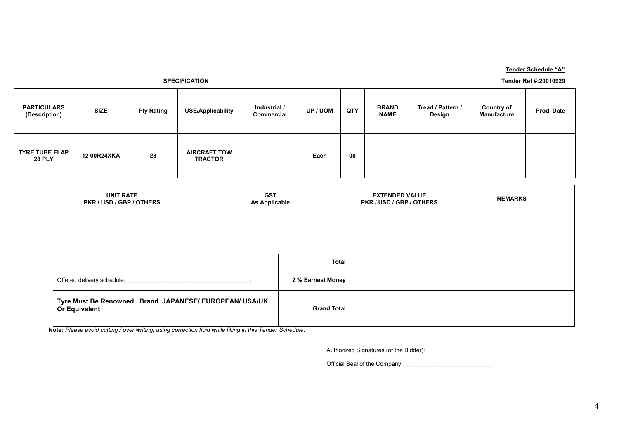|                                        |                      |                   |                                       |                            |                       |     |                             |                             |                                  | Tender Schedule "A" |
|----------------------------------------|----------------------|-------------------|---------------------------------------|----------------------------|-----------------------|-----|-----------------------------|-----------------------------|----------------------------------|---------------------|
|                                        | <b>SPECIFICATION</b> |                   |                                       |                            | Tender Ref #:20010929 |     |                             |                             |                                  |                     |
| <b>PARTICULARS</b><br>(Description)    | <b>SIZE</b>          | <b>Ply Rating</b> | <b>USE/Applicability</b>              | Industrial /<br>Commercial | <b>UP / UOM</b>       | QTY | <b>BRAND</b><br><b>NAME</b> | Tread / Pattern /<br>Design | <b>Country of</b><br>Manufacture | Prod. Date          |
| <b>TYRE TUBE FLAP</b><br><b>28 PLY</b> | 12 00R24XKA          | 28                | <b>AIRCRAFT TOW</b><br><b>TRACTOR</b> |                            | Each                  | 08  |                             |                             |                                  |                     |

| <b>UNIT RATE</b><br>PKR / USD / GBP / OTHERS                            | <b>GST</b><br>As Applicable | <b>EXTENDED VALUE</b><br>PKR / USD / GBP / OTHERS | <b>REMARKS</b> |  |
|-------------------------------------------------------------------------|-----------------------------|---------------------------------------------------|----------------|--|
|                                                                         |                             |                                                   |                |  |
|                                                                         |                             |                                                   |                |  |
|                                                                         |                             | <b>Total</b>                                      |                |  |
|                                                                         | 2 % Earnest Money           |                                                   |                |  |
| Tyre Must Be Renowned Brand JAPANESE/ EUROPEAN/ USA/UK<br>Or Equivalent |                             | <b>Grand Total</b>                                |                |  |

**Note:** *Please avoid cutting / over writing, using correction fluid while filling in this Tender Schedule*.

Authorized Signatures (of the Bidder): \_\_\_\_\_\_\_\_\_\_\_\_\_\_\_\_\_\_\_\_\_\_

Official Seal of the Company: \_\_\_\_\_\_\_\_\_\_\_\_\_\_\_\_\_\_\_\_\_\_\_\_\_\_\_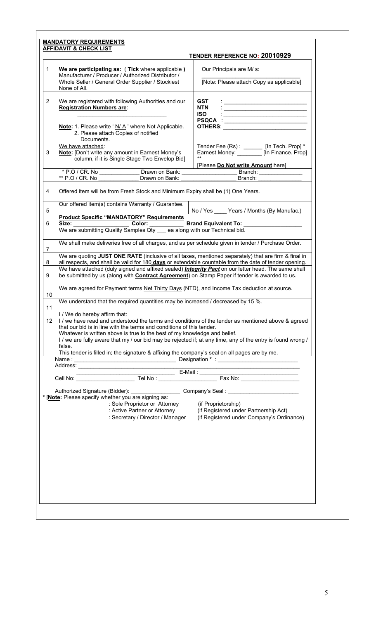| We are participating as: (Tick where applicable)<br>Our Principals are M/ s:<br>Manufacturer / Producer / Authorized Distributor /<br>[Note: Please attach Copy as applicable]<br>Whole Seller / General Order Supplier / Stockiest<br>None of All.<br>We are registered with following Authorities and our<br><b>GST</b><br><b>Registration Numbers are:</b><br><b>NTN</b><br><u>state and the state of the state of the state of the state of the state of the state of the state of the state of the state of the state of the state of the state of the state of the state of the state of the state of the</u><br><b>ISO</b><br>OTHERS: ____ _______________________<br>Note: 1. Please write 'N/A' where Not Applicable.<br>2. Please attach Copies of notified<br>Documents.<br>Tender Fee (Rs): [In Tech. Prop]*<br>We have attached:<br>Note: [Don't write any amount in Earnest Money's<br>Earnest Money: [In Finance. Prop]<br>column, if it is Single Stage Two Envelop Bid]<br>[Please Do Not write Amount here]<br>* P.O / CR. No _________________Drawn on Bank: _________________________________<br>Branch: ________________<br>** P.O / CR. No Drawn on Bank:<br>Branch:<br>Offered item will be from Fresh Stock and Minimum Expiry shall be (1) One Years.<br>Our offered item(s) contains Warranty / Guarantee.<br>No / Yes<br>Years / Months (By Manufac.)<br><b>Product Specific "MANDATORY" Requirements</b><br>Size: Color: Color: Brand Equivalent To: ___________<br>We are submitting Quality Samples Qty ___ ea along with our Technical bid. |  |
|----------------------------------------------------------------------------------------------------------------------------------------------------------------------------------------------------------------------------------------------------------------------------------------------------------------------------------------------------------------------------------------------------------------------------------------------------------------------------------------------------------------------------------------------------------------------------------------------------------------------------------------------------------------------------------------------------------------------------------------------------------------------------------------------------------------------------------------------------------------------------------------------------------------------------------------------------------------------------------------------------------------------------------------------------------------------------------------------------------------------------------------------------------------------------------------------------------------------------------------------------------------------------------------------------------------------------------------------------------------------------------------------------------------------------------------------------------------------------------------------------------------------------------------------------------------------------|--|
| 2<br>4<br>5                                                                                                                                                                                                                                                                                                                                                                                                                                                                                                                                                                                                                                                                                                                                                                                                                                                                                                                                                                                                                                                                                                                                                                                                                                                                                                                                                                                                                                                                                                                                                                |  |
|                                                                                                                                                                                                                                                                                                                                                                                                                                                                                                                                                                                                                                                                                                                                                                                                                                                                                                                                                                                                                                                                                                                                                                                                                                                                                                                                                                                                                                                                                                                                                                            |  |
|                                                                                                                                                                                                                                                                                                                                                                                                                                                                                                                                                                                                                                                                                                                                                                                                                                                                                                                                                                                                                                                                                                                                                                                                                                                                                                                                                                                                                                                                                                                                                                            |  |
|                                                                                                                                                                                                                                                                                                                                                                                                                                                                                                                                                                                                                                                                                                                                                                                                                                                                                                                                                                                                                                                                                                                                                                                                                                                                                                                                                                                                                                                                                                                                                                            |  |
|                                                                                                                                                                                                                                                                                                                                                                                                                                                                                                                                                                                                                                                                                                                                                                                                                                                                                                                                                                                                                                                                                                                                                                                                                                                                                                                                                                                                                                                                                                                                                                            |  |
|                                                                                                                                                                                                                                                                                                                                                                                                                                                                                                                                                                                                                                                                                                                                                                                                                                                                                                                                                                                                                                                                                                                                                                                                                                                                                                                                                                                                                                                                                                                                                                            |  |
|                                                                                                                                                                                                                                                                                                                                                                                                                                                                                                                                                                                                                                                                                                                                                                                                                                                                                                                                                                                                                                                                                                                                                                                                                                                                                                                                                                                                                                                                                                                                                                            |  |
|                                                                                                                                                                                                                                                                                                                                                                                                                                                                                                                                                                                                                                                                                                                                                                                                                                                                                                                                                                                                                                                                                                                                                                                                                                                                                                                                                                                                                                                                                                                                                                            |  |
|                                                                                                                                                                                                                                                                                                                                                                                                                                                                                                                                                                                                                                                                                                                                                                                                                                                                                                                                                                                                                                                                                                                                                                                                                                                                                                                                                                                                                                                                                                                                                                            |  |
|                                                                                                                                                                                                                                                                                                                                                                                                                                                                                                                                                                                                                                                                                                                                                                                                                                                                                                                                                                                                                                                                                                                                                                                                                                                                                                                                                                                                                                                                                                                                                                            |  |
|                                                                                                                                                                                                                                                                                                                                                                                                                                                                                                                                                                                                                                                                                                                                                                                                                                                                                                                                                                                                                                                                                                                                                                                                                                                                                                                                                                                                                                                                                                                                                                            |  |
|                                                                                                                                                                                                                                                                                                                                                                                                                                                                                                                                                                                                                                                                                                                                                                                                                                                                                                                                                                                                                                                                                                                                                                                                                                                                                                                                                                                                                                                                                                                                                                            |  |
| We shall make deliveries free of all charges, and as per schedule given in tender / Purchase Order.<br>$\overline{7}$                                                                                                                                                                                                                                                                                                                                                                                                                                                                                                                                                                                                                                                                                                                                                                                                                                                                                                                                                                                                                                                                                                                                                                                                                                                                                                                                                                                                                                                      |  |
| We are quoting JUST ONE RATE (inclusive of all taxes, mentioned separately) that are firm & final in                                                                                                                                                                                                                                                                                                                                                                                                                                                                                                                                                                                                                                                                                                                                                                                                                                                                                                                                                                                                                                                                                                                                                                                                                                                                                                                                                                                                                                                                       |  |
| all respects, and shall be valid for 180 days or extendable countable from the date of tender opening.<br>8<br>We have attached (duly signed and affixed sealed) <i>Integrity Pact</i> on our letter head. The same shall<br>be submitted by us (along with <b>Contract Agreement</b> ) on Stamp Paper if tender is awarded to us.<br>9                                                                                                                                                                                                                                                                                                                                                                                                                                                                                                                                                                                                                                                                                                                                                                                                                                                                                                                                                                                                                                                                                                                                                                                                                                    |  |
| We are agreed for Payment terms Net Thirty Days (NTD), and Income Tax deduction at source.<br>10                                                                                                                                                                                                                                                                                                                                                                                                                                                                                                                                                                                                                                                                                                                                                                                                                                                                                                                                                                                                                                                                                                                                                                                                                                                                                                                                                                                                                                                                           |  |
| We understand that the required quantities may be increased / decreased by 15 %.<br>11                                                                                                                                                                                                                                                                                                                                                                                                                                                                                                                                                                                                                                                                                                                                                                                                                                                                                                                                                                                                                                                                                                                                                                                                                                                                                                                                                                                                                                                                                     |  |
| I / We do hereby affirm that:<br>I / we have read and understood the terms and conditions of the tender as mentioned above & agreed<br>12<br>that our bid is in line with the terms and conditions of this tender.<br>Whatever is written above is true to the best of my knowledge and belief.<br>I / we are fully aware that my / our bid may be rejected if; at any time, any of the entry is found wrong /<br>false.<br>This tender is filled in; the signature & affixing the company's seal on all pages are by me.                                                                                                                                                                                                                                                                                                                                                                                                                                                                                                                                                                                                                                                                                                                                                                                                                                                                                                                                                                                                                                                  |  |
|                                                                                                                                                                                                                                                                                                                                                                                                                                                                                                                                                                                                                                                                                                                                                                                                                                                                                                                                                                                                                                                                                                                                                                                                                                                                                                                                                                                                                                                                                                                                                                            |  |
| Address: <u>www.community.com</u>                                                                                                                                                                                                                                                                                                                                                                                                                                                                                                                                                                                                                                                                                                                                                                                                                                                                                                                                                                                                                                                                                                                                                                                                                                                                                                                                                                                                                                                                                                                                          |  |
|                                                                                                                                                                                                                                                                                                                                                                                                                                                                                                                                                                                                                                                                                                                                                                                                                                                                                                                                                                                                                                                                                                                                                                                                                                                                                                                                                                                                                                                                                                                                                                            |  |
| : Sole Proprietor or Attorney<br>(if Proprietorship)<br>: Active Partner or Attorney<br>(if Registered under Partnership Act)<br>: Secretary / Director / Manager<br>(if Registered under Company's Ordinance)                                                                                                                                                                                                                                                                                                                                                                                                                                                                                                                                                                                                                                                                                                                                                                                                                                                                                                                                                                                                                                                                                                                                                                                                                                                                                                                                                             |  |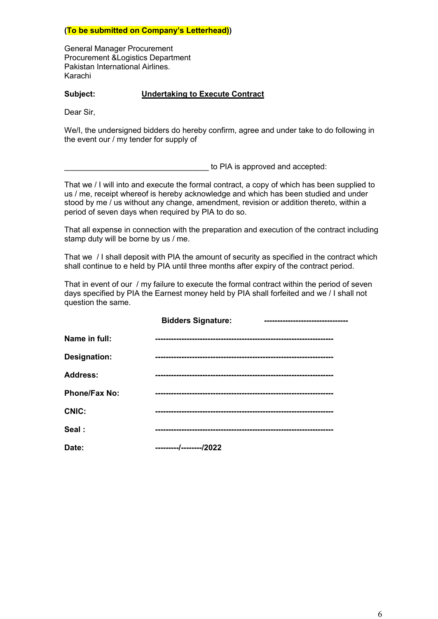#### **(To be submitted on Company's Letterhead))**

General Manager Procurement Procurement &Logistics Department Pakistan International Airlines. Karachi

#### **Subject: Undertaking to Execute Contract**

Dear Sir,

We/I, the undersigned bidders do hereby confirm, agree and under take to do following in the event our / my tender for supply of

to PIA is approved and accepted:

That we / I will into and execute the formal contract, a copy of which has been supplied to us / me, receipt whereof is hereby acknowledge and which has been studied and under stood by me / us without any change, amendment, revision or addition thereto, within a period of seven days when required by PIA to do so.

That all expense in connection with the preparation and execution of the contract including stamp duty will be borne by us / me.

That we / I shall deposit with PIA the amount of security as specified in the contract which shall continue to e held by PIA until three months after expiry of the contract period.

That in event of our / my failure to execute the formal contract within the period of seven days specified by PIA the Earnest money held by PIA shall forfeited and we / I shall not question the same.

|                      | <b>Bidders Signature:</b> |  |
|----------------------|---------------------------|--|
| Name in full:        |                           |  |
| <b>Designation:</b>  |                           |  |
| <b>Address:</b>      |                           |  |
| <b>Phone/Fax No:</b> |                           |  |
| <b>CNIC:</b>         |                           |  |
| Seal:                |                           |  |
| Date:                | ---------/--------/2022   |  |